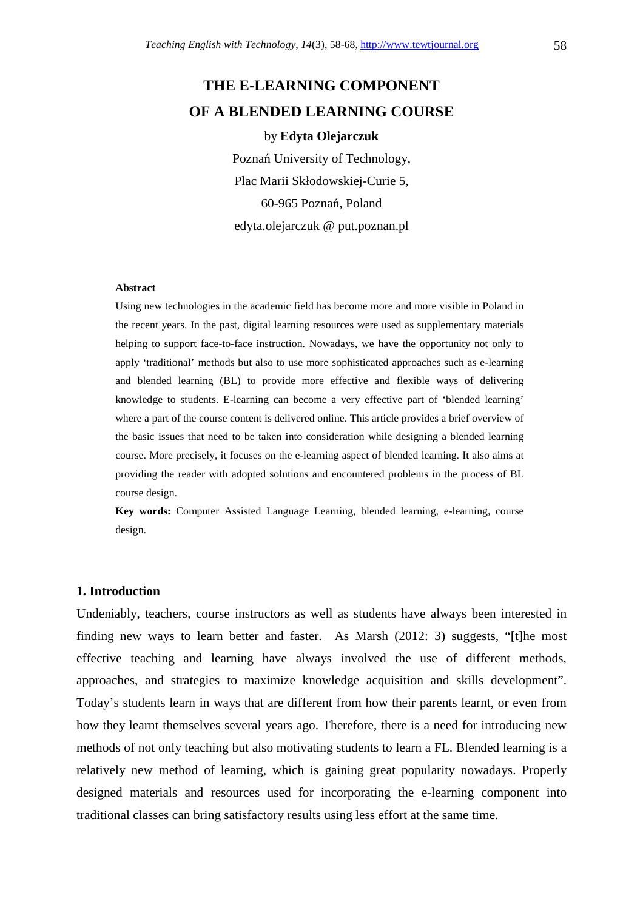# **THE E-LEARNING COMPONENT OF A BLENDED LEARNING COURSE**

### by **Edyta Olejarczuk**

Poznań University of Technology, Plac Marii Skłodowskiej-Curie 5, 60-965 Poznań, Poland edyta.olejarczuk @ put.poznan.pl

#### **Abstract**

Using new technologies in the academic field has become more and more visible in Poland in the recent years. In the past, digital learning resources were used as supplementary materials helping to support face-to-face instruction. Nowadays, we have the opportunity not only to apply 'traditional' methods but also to use more sophisticated approaches such as e-learning and blended learning (BL) to provide more effective and flexible ways of delivering knowledge to students. E-learning can become a very effective part of 'blended learning' where a part of the course content is delivered online. This article provides a brief overview of the basic issues that need to be taken into consideration while designing a blended learning course. More precisely, it focuses on the e-learning aspect of blended learning. It also aims at providing the reader with adopted solutions and encountered problems in the process of BL course design.

**Key words:** Computer Assisted Language Learning, blended learning, e-learning, course design.

### **1. Introduction**

Undeniably, teachers, course instructors as well as students have always been interested in finding new ways to learn better and faster. As Marsh (2012: 3) suggests, "[t]he most effective teaching and learning have always involved the use of different methods, approaches, and strategies to maximize knowledge acquisition and skills development". Today's students learn in ways that are different from how their parents learnt, or even from how they learnt themselves several years ago. Therefore, there is a need for introducing new methods of not only teaching but also motivating students to learn a FL. Blended learning is a relatively new method of learning, which is gaining great popularity nowadays. Properly designed materials and resources used for incorporating the e-learning component into traditional classes can bring satisfactory results using less effort at the same time.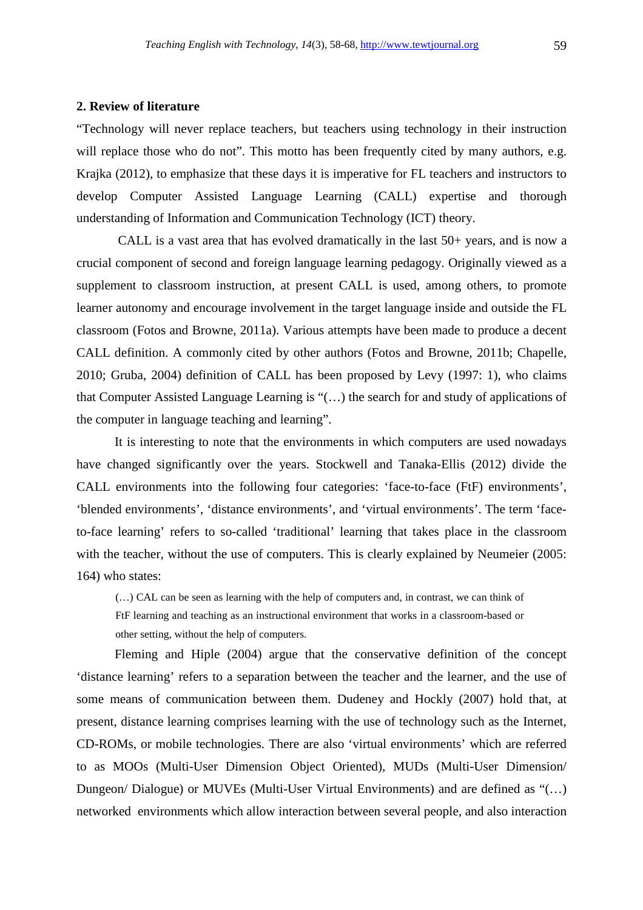### **2. Review of literature**

"Technology will never replace teachers, but teachers using technology in their instruction will replace those who do not". This motto has been frequently cited by many authors, e.g. Krajka (2012), to emphasize that these days it is imperative for FL teachers and instructors to develop Computer Assisted Language Learning (CALL) expertise and thorough understanding of Information and Communication Technology (ICT) theory.

 CALL is a vast area that has evolved dramatically in the last 50+ years, and is now a crucial component of second and foreign language learning pedagogy. Originally viewed as a supplement to classroom instruction, at present CALL is used, among others, to promote learner autonomy and encourage involvement in the target language inside and outside the FL classroom (Fotos and Browne, 2011a). Various attempts have been made to produce a decent CALL definition. A commonly cited by other authors (Fotos and Browne, 2011b; Chapelle, 2010; Gruba, 2004) definition of CALL has been proposed by Levy (1997: 1), who claims that Computer Assisted Language Learning is "(…) the search for and study of applications of the computer in language teaching and learning".

It is interesting to note that the environments in which computers are used nowadays have changed significantly over the years. Stockwell and Tanaka-Ellis (2012) divide the CALL environments into the following four categories: 'face-to-face (FtF) environments', 'blended environments', 'distance environments', and 'virtual environments'. The term 'faceto-face learning' refers to so-called 'traditional' learning that takes place in the classroom with the teacher, without the use of computers. This is clearly explained by Neumeier (2005: 164) who states:

(…) CAL can be seen as learning with the help of computers and, in contrast, we can think of FtF learning and teaching as an instructional environment that works in a classroom-based or other setting, without the help of computers.

Fleming and Hiple (2004) argue that the conservative definition of the concept 'distance learning' refers to a separation between the teacher and the learner, and the use of some means of communication between them. Dudeney and Hockly (2007) hold that, at present, distance learning comprises learning with the use of technology such as the Internet, CD-ROMs, or mobile technologies. There are also 'virtual environments' which are referred to as MOOs (Multi-User Dimension Object Oriented), MUDs (Multi-User Dimension/ Dungeon/ Dialogue) or MUVEs (Multi-User Virtual Environments) and are defined as "(…) networked environments which allow interaction between several people, and also interaction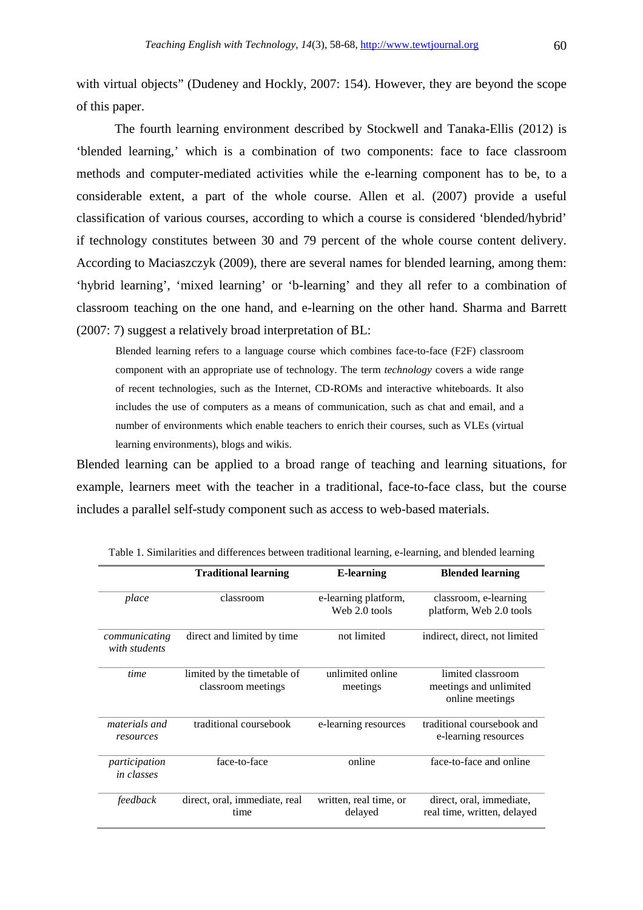with virtual objects" (Dudeney and Hockly, 2007: 154). However, they are beyond the scope of this paper.

 The fourth learning environment described by Stockwell and Tanaka-Ellis (2012) is 'blended learning,' which is a combination of two components: face to face classroom methods and computer-mediated activities while the e-learning component has to be, to a considerable extent, a part of the whole course. Allen et al. (2007) provide a useful classification of various courses, according to which a course is considered 'blended/hybrid' if technology constitutes between 30 and 79 percent of the whole course content delivery. According to Maciaszczyk (2009), there are several names for blended learning, among them: 'hybrid learning', 'mixed learning' or 'b-learning' and they all refer to a combination of classroom teaching on the one hand, and e-learning on the other hand. Sharma and Barrett (2007: 7) suggest a relatively broad interpretation of BL:

Blended learning refers to a language course which combines face-to-face (F2F) classroom component with an appropriate use of technology. The term *technology* covers a wide range of recent technologies, such as the Internet, CD-ROMs and interactive whiteboards. It also includes the use of computers as a means of communication, such as chat and email, and a number of environments which enable teachers to enrich their courses, such as VLEs (virtual learning environments), blogs and wikis.

Blended learning can be applied to a broad range of teaching and learning situations, for example, learners meet with the teacher in a traditional, face-to-face class, but the course includes a parallel self-study component such as access to web-based materials.

|                                    | <b>Traditional learning</b>                       | <b>E-learning</b>                     | <b>Blended learning</b>                                        |
|------------------------------------|---------------------------------------------------|---------------------------------------|----------------------------------------------------------------|
| place                              | classroom                                         | e-learning platform,<br>Web 2.0 tools | classroom, e-learning<br>platform, Web 2.0 tools               |
| communicating<br>with students     | direct and limited by time                        | not limited                           | indirect, direct, not limited                                  |
| time                               | limited by the timetable of<br>classroom meetings | unlimited online<br>meetings          | limited classroom<br>meetings and unlimited<br>online meetings |
| materials and<br>resources         | traditional coursebook                            | e-learning resources                  | traditional coursebook and<br>e-learning resources             |
| participation<br><i>in classes</i> | face-to-face                                      | online                                | face-to-face and online                                        |
| feedback                           | direct, oral, immediate, real<br>time             | written, real time, or<br>delayed     | direct, oral, immediate,<br>real time, written, delayed        |

Table 1. Similarities and differences between traditional learning, e-learning, and blended learning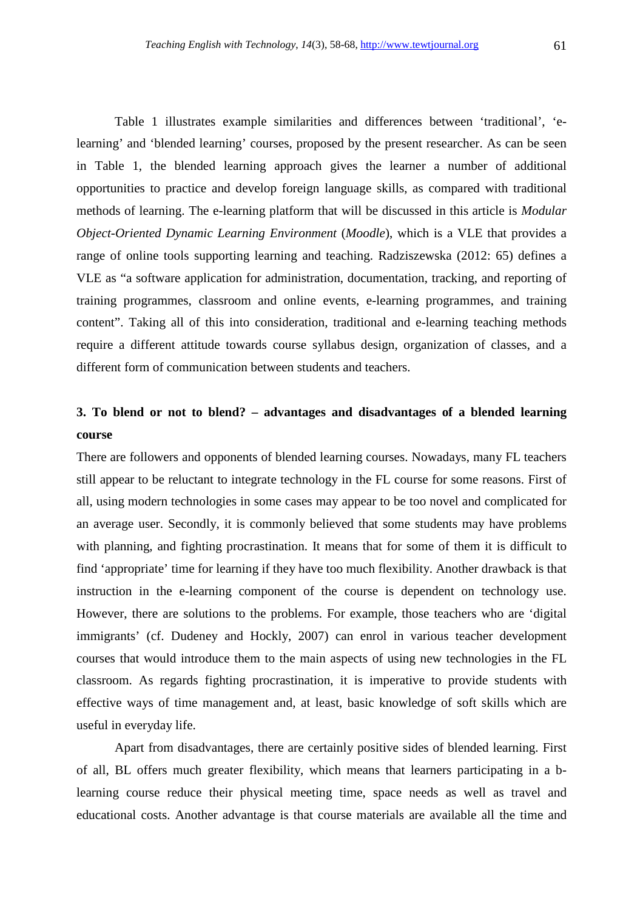Table 1 illustrates example similarities and differences between 'traditional', 'elearning' and 'blended learning' courses, proposed by the present researcher. As can be seen in Table 1, the blended learning approach gives the learner a number of additional opportunities to practice and develop foreign language skills, as compared with traditional methods of learning. The e-learning platform that will be discussed in this article is *Modular Object-Oriented Dynamic Learning Environment* (*Moodle*), which is a VLE that provides a range of online tools supporting learning and teaching. Radziszewska (2012: 65) defines a VLE as "a software application for administration, documentation, tracking, and reporting of training programmes, classroom and online events, e-learning programmes, and training content". Taking all of this into consideration, traditional and e-learning teaching methods require a different attitude towards course syllabus design, organization of classes, and a different form of communication between students and teachers.

## **3. To blend or not to blend? – advantages and disadvantages of a blended learning course**

There are followers and opponents of blended learning courses. Nowadays, many FL teachers still appear to be reluctant to integrate technology in the FL course for some reasons. First of all, using modern technologies in some cases may appear to be too novel and complicated for an average user. Secondly, it is commonly believed that some students may have problems with planning, and fighting procrastination. It means that for some of them it is difficult to find 'appropriate' time for learning if they have too much flexibility. Another drawback is that instruction in the e-learning component of the course is dependent on technology use. However, there are solutions to the problems. For example, those teachers who are 'digital immigrants' (cf. Dudeney and Hockly, 2007) can enrol in various teacher development courses that would introduce them to the main aspects of using new technologies in the FL classroom. As regards fighting procrastination, it is imperative to provide students with effective ways of time management and, at least, basic knowledge of soft skills which are useful in everyday life.

 Apart from disadvantages, there are certainly positive sides of blended learning. First of all, BL offers much greater flexibility, which means that learners participating in a blearning course reduce their physical meeting time, space needs as well as travel and educational costs. Another advantage is that course materials are available all the time and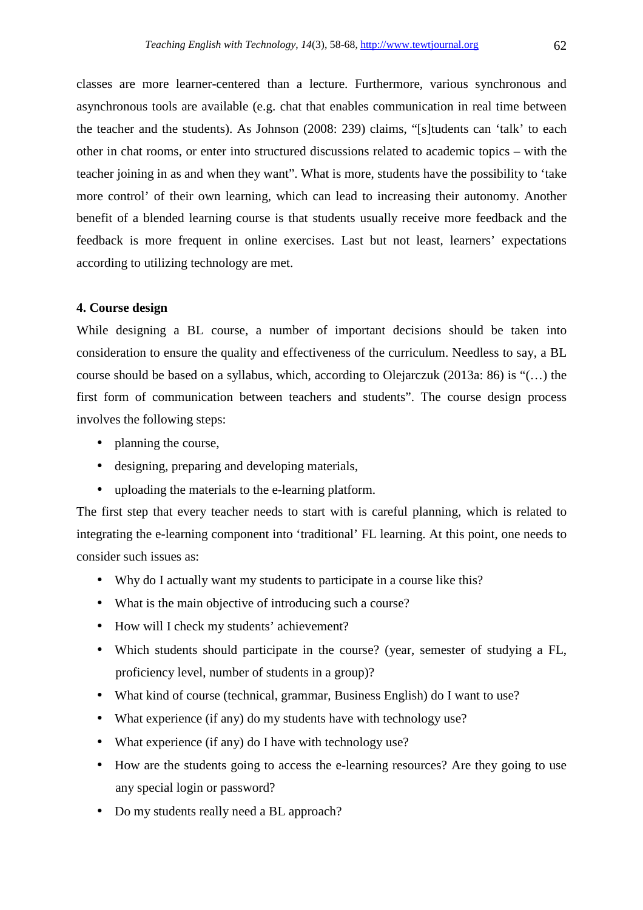classes are more learner-centered than a lecture. Furthermore, various synchronous and asynchronous tools are available (e.g. chat that enables communication in real time between the teacher and the students). As Johnson (2008: 239) claims, "[s]tudents can 'talk' to each other in chat rooms, or enter into structured discussions related to academic topics – with the teacher joining in as and when they want". What is more, students have the possibility to 'take more control' of their own learning, which can lead to increasing their autonomy. Another benefit of a blended learning course is that students usually receive more feedback and the feedback is more frequent in online exercises. Last but not least, learners' expectations according to utilizing technology are met.

### **4. Course design**

While designing a BL course, a number of important decisions should be taken into consideration to ensure the quality and effectiveness of the curriculum. Needless to say, a BL course should be based on a syllabus, which, according to Olejarczuk (2013a: 86) is "(…) the first form of communication between teachers and students". The course design process involves the following steps:

- planning the course,
- designing, preparing and developing materials,
- uploading the materials to the e-learning platform.

The first step that every teacher needs to start with is careful planning, which is related to integrating the e-learning component into 'traditional' FL learning. At this point, one needs to consider such issues as:

- Why do I actually want my students to participate in a course like this?
- What is the main objective of introducing such a course?
- How will I check my students' achievement?
- Which students should participate in the course? (year, semester of studying a FL, proficiency level, number of students in a group)?
- What kind of course (technical, grammar, Business English) do I want to use?
- What experience (if any) do my students have with technology use?
- What experience (if any) do I have with technology use?
- How are the students going to access the e-learning resources? Are they going to use any special login or password?
- Do my students really need a BL approach?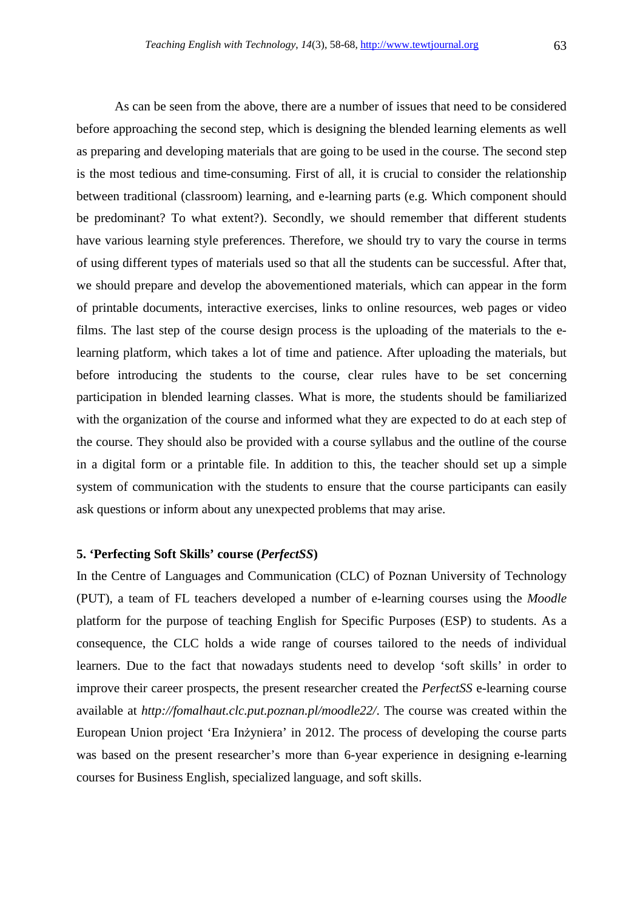As can be seen from the above, there are a number of issues that need to be considered before approaching the second step, which is designing the blended learning elements as well as preparing and developing materials that are going to be used in the course. The second step is the most tedious and time-consuming. First of all, it is crucial to consider the relationship between traditional (classroom) learning, and e-learning parts (e.g. Which component should be predominant? To what extent?). Secondly, we should remember that different students have various learning style preferences. Therefore, we should try to vary the course in terms of using different types of materials used so that all the students can be successful. After that, we should prepare and develop the abovementioned materials, which can appear in the form of printable documents, interactive exercises, links to online resources, web pages or video films. The last step of the course design process is the uploading of the materials to the elearning platform, which takes a lot of time and patience. After uploading the materials, but before introducing the students to the course, clear rules have to be set concerning participation in blended learning classes. What is more, the students should be familiarized with the organization of the course and informed what they are expected to do at each step of the course. They should also be provided with a course syllabus and the outline of the course in a digital form or a printable file. In addition to this, the teacher should set up a simple system of communication with the students to ensure that the course participants can easily ask questions or inform about any unexpected problems that may arise.

### **5. 'Perfecting Soft Skills' course (***PerfectSS***)**

In the Centre of Languages and Communication (CLC) of Poznan University of Technology (PUT), a team of FL teachers developed a number of e-learning courses using the *Moodle* platform for the purpose of teaching English for Specific Purposes (ESP) to students. As a consequence, the CLC holds a wide range of courses tailored to the needs of individual learners. Due to the fact that nowadays students need to develop 'soft skills' in order to improve their career prospects, the present researcher created the *PerfectSS* e-learning course available at *http://fomalhaut.clc.put.poznan.pl/moodle22/*. The course was created within the European Union project 'Era Inżyniera' in 2012. The process of developing the course parts was based on the present researcher's more than 6-year experience in designing e-learning courses for Business English, specialized language, and soft skills.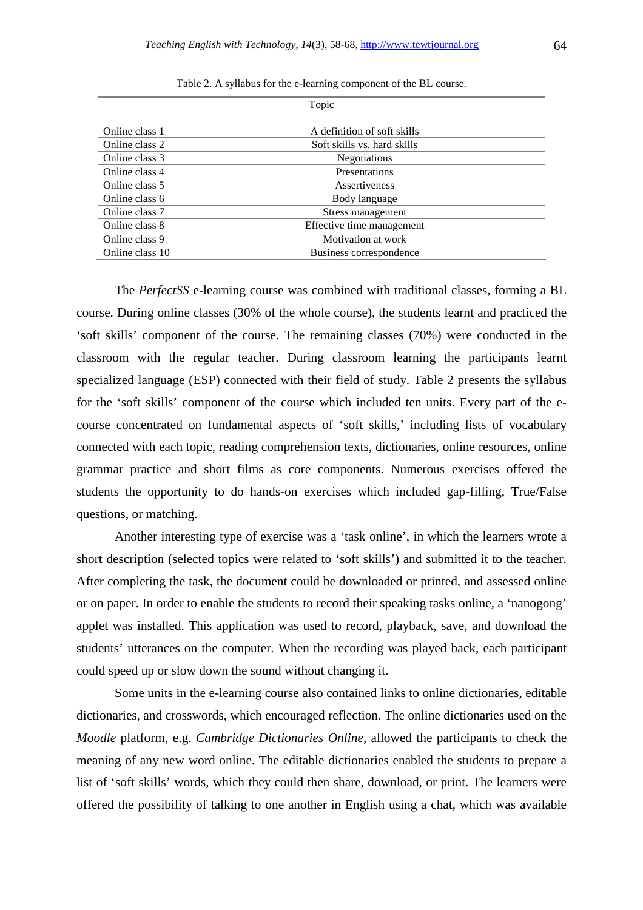|                 | Topic                       |  |
|-----------------|-----------------------------|--|
|                 |                             |  |
| Online class 1  | A definition of soft skills |  |
| Online class 2  | Soft skills vs. hard skills |  |
| Online class 3  | <b>Negotiations</b>         |  |
| Online class 4  | Presentations               |  |
| Online class 5  | Assertiveness               |  |
| Online class 6  | Body language               |  |
| Online class 7  | Stress management           |  |
| Online class 8  | Effective time management   |  |
| Online class 9  | Motivation at work          |  |
| Online class 10 | Business correspondence     |  |

Table 2. A syllabus for the e-learning component of the BL course.

 The *PerfectSS* e-learning course was combined with traditional classes, forming a BL course. During online classes (30% of the whole course), the students learnt and practiced the 'soft skills' component of the course. The remaining classes (70%) were conducted in the classroom with the regular teacher. During classroom learning the participants learnt specialized language (ESP) connected with their field of study. Table 2 presents the syllabus for the 'soft skills' component of the course which included ten units. Every part of the ecourse concentrated on fundamental aspects of 'soft skills,' including lists of vocabulary connected with each topic, reading comprehension texts, dictionaries, online resources, online grammar practice and short films as core components. Numerous exercises offered the students the opportunity to do hands-on exercises which included gap-filling, True/False questions, or matching.

Another interesting type of exercise was a 'task online', in which the learners wrote a short description (selected topics were related to 'soft skills') and submitted it to the teacher. After completing the task, the document could be downloaded or printed, and assessed online or on paper. In order to enable the students to record their speaking tasks online, a 'nanogong' applet was installed. This application was used to record, playback, save, and download the students' utterances on the computer. When the recording was played back, each participant could speed up or slow down the sound without changing it.

Some units in the e-learning course also contained links to online dictionaries, editable dictionaries, and crosswords, which encouraged reflection. The online dictionaries used on the *Moodle* platform, e.g. *Cambridge Dictionaries Online*, allowed the participants to check the meaning of any new word online. The editable dictionaries enabled the students to prepare a list of 'soft skills' words, which they could then share, download, or print. The learners were offered the possibility of talking to one another in English using a chat, which was available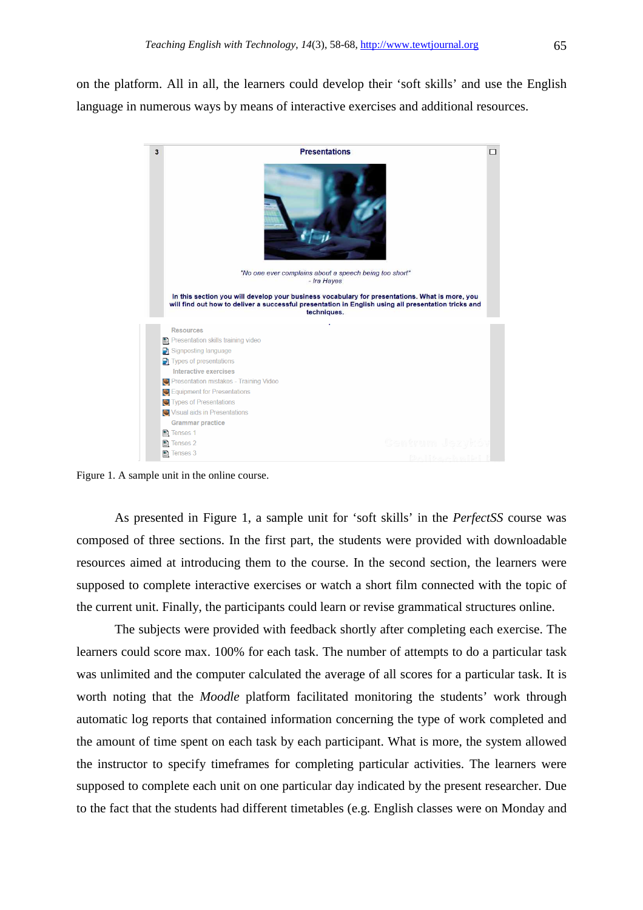on the platform. All in all, the learners could develop their 'soft skills' and use the English language in numerous ways by means of interactive exercises and additional resources.



Figure 1. A sample unit in the online course.

 As presented in Figure 1, a sample unit for 'soft skills' in the *PerfectSS* course was composed of three sections. In the first part, the students were provided with downloadable resources aimed at introducing them to the course. In the second section, the learners were supposed to complete interactive exercises or watch a short film connected with the topic of the current unit. Finally, the participants could learn or revise grammatical structures online.

The subjects were provided with feedback shortly after completing each exercise. The learners could score max. 100% for each task. The number of attempts to do a particular task was unlimited and the computer calculated the average of all scores for a particular task. It is worth noting that the *Moodle* platform facilitated monitoring the students' work through automatic log reports that contained information concerning the type of work completed and the amount of time spent on each task by each participant. What is more, the system allowed the instructor to specify timeframes for completing particular activities. The learners were supposed to complete each unit on one particular day indicated by the present researcher. Due to the fact that the students had different timetables (e.g. English classes were on Monday and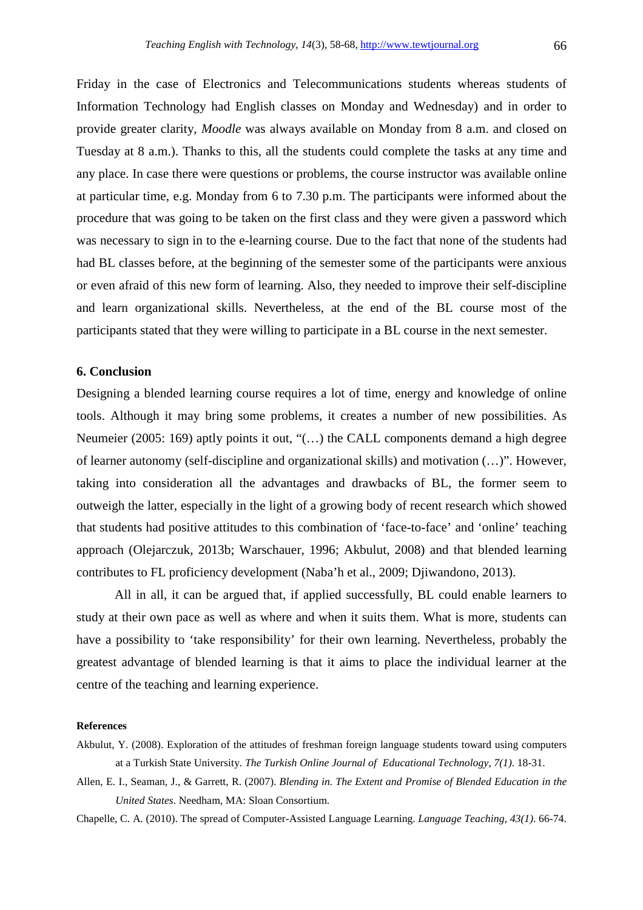Friday in the case of Electronics and Telecommunications students whereas students of Information Technology had English classes on Monday and Wednesday) and in order to provide greater clarity, *Moodle* was always available on Monday from 8 a.m. and closed on Tuesday at 8 a.m.). Thanks to this, all the students could complete the tasks at any time and any place. In case there were questions or problems, the course instructor was available online at particular time, e.g. Monday from 6 to 7.30 p.m. The participants were informed about the procedure that was going to be taken on the first class and they were given a password which was necessary to sign in to the e-learning course. Due to the fact that none of the students had had BL classes before, at the beginning of the semester some of the participants were anxious or even afraid of this new form of learning. Also, they needed to improve their self-discipline and learn organizational skills. Nevertheless, at the end of the BL course most of the participants stated that they were willing to participate in a BL course in the next semester.

### **6. Conclusion**

Designing a blended learning course requires a lot of time, energy and knowledge of online tools. Although it may bring some problems, it creates a number of new possibilities. As Neumeier (2005: 169) aptly points it out, "(…) the CALL components demand a high degree of learner autonomy (self-discipline and organizational skills) and motivation (…)". However, taking into consideration all the advantages and drawbacks of BL, the former seem to outweigh the latter, especially in the light of a growing body of recent research which showed that students had positive attitudes to this combination of 'face-to-face' and 'online' teaching approach (Olejarczuk, 2013b; Warschauer, 1996; Akbulut, 2008) and that blended learning contributes to FL proficiency development (Naba'h et al., 2009; Djiwandono, 2013).

All in all, it can be argued that, if applied successfully, BL could enable learners to study at their own pace as well as where and when it suits them. What is more, students can have a possibility to 'take responsibility' for their own learning. Nevertheless, probably the greatest advantage of blended learning is that it aims to place the individual learner at the centre of the teaching and learning experience.

### **References**

- Akbulut, Y. (2008). Exploration of the attitudes of freshman foreign language students toward using computers at a Turkish State University. *The Turkish Online Journal of Educational Technology, 7(1)*. 18-31.
- Allen, E. I., Seaman, J., & Garrett, R. (2007). *Blending in. The Extent and Promise of Blended Education in the United States*. Needham, MA: Sloan Consortium.

Chapelle, C. A. (2010). The spread of Computer-Assisted Language Learning. *Language Teaching, 43(1)*. 66-74.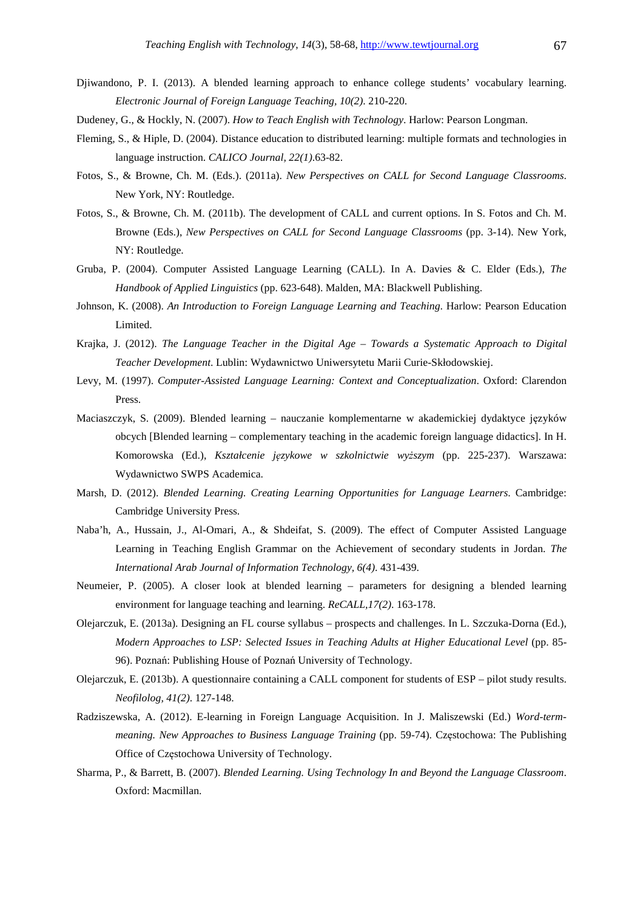- Djiwandono, P. I. (2013). A blended learning approach to enhance college students' vocabulary learning. *Electronic Journal of Foreign Language Teaching, 10(2)*. 210-220.
- Dudeney, G., & Hockly, N. (2007). *How to Teach English with Technology*. Harlow: Pearson Longman.
- Fleming, S., & Hiple, D. (2004). Distance education to distributed learning: multiple formats and technologies in language instruction. *CALICO Journal, 22(1)*.63-82.
- Fotos, S., & Browne, Ch. M. (Eds.). (2011a). *New Perspectives on CALL for Second Language Classrooms*. New York, NY: Routledge.
- Fotos, S., & Browne, Ch. M. (2011b). The development of CALL and current options. In S. Fotos and Ch. M. Browne (Eds.), *New Perspectives on CALL for Second Language Classrooms* (pp. 3-14). New York, NY: Routledge.
- Gruba, P. (2004). Computer Assisted Language Learning (CALL). In A. Davies & C. Elder (Eds.), *The Handbook of Applied Linguistics* (pp. 623-648). Malden, MA: Blackwell Publishing.
- Johnson, K. (2008). *An Introduction to Foreign Language Learning and Teaching*. Harlow: Pearson Education Limited.
- Krajka, J. (2012). *The Language Teacher in the Digital Age Towards a Systematic Approach to Digital Teacher Development*. Lublin: Wydawnictwo Uniwersytetu Marii Curie-Skłodowskiej.
- Levy, M. (1997). *Computer-Assisted Language Learning: Context and Conceptualization*. Oxford: Clarendon Press.
- Maciaszczyk, S. (2009). Blended learning nauczanie komplementarne w akademickiej dydaktyce języków obcych [Blended learning – complementary teaching in the academic foreign language didactics]. In H. Komorowska (Ed.), *Kształcenie językowe w szkolnictwie wyższym* (pp. 225-237). Warszawa: Wydawnictwo SWPS Academica.
- Marsh, D. (2012). *Blended Learning. Creating Learning Opportunities for Language Learners*. Cambridge: Cambridge University Press.
- Naba'h, A., Hussain, J., Al-Omari, A., & Shdeifat, S. (2009). The effect of Computer Assisted Language Learning in Teaching English Grammar on the Achievement of secondary students in Jordan. *The International Arab Journal of Information Technology, 6(4)*. 431-439.
- Neumeier, P. (2005). A closer look at blended learning parameters for designing a blended learning environment for language teaching and learning. *ReCALL,17(2)*. 163-178.
- Olejarczuk, E. (2013a). Designing an FL course syllabus prospects and challenges. In L. Szczuka-Dorna (Ed.), *Modern Approaches to LSP: Selected Issues in Teaching Adults at Higher Educational Level* (pp. 85- 96). Poznań: Publishing House of Poznań University of Technology.
- Olejarczuk, E. (2013b). A questionnaire containing a CALL component for students of ESP pilot study results. *Neofilolog, 41(2)*. 127-148.
- Radziszewska, A. (2012). E-learning in Foreign Language Acquisition. In J. Maliszewski (Ed.) *Word-termmeaning. New Approaches to Business Language Training* (pp. 59-74). Częstochowa: The Publishing Office of Częstochowa University of Technology.
- Sharma, P., & Barrett, B. (2007). *Blended Learning. Using Technology In and Beyond the Language Classroom*. Oxford: Macmillan.